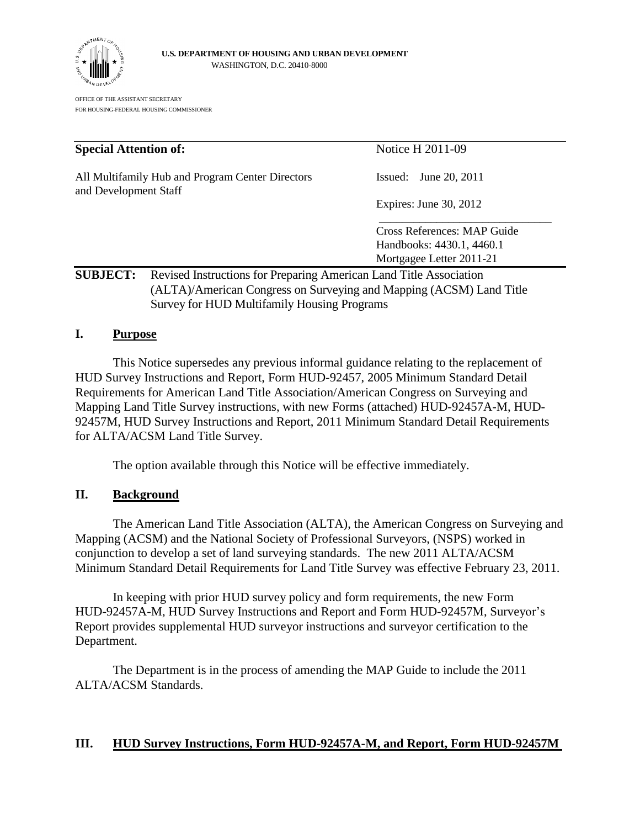

OFFICE OF THE ASSISTANT SECRETARY FOR HOUSING-FEDERAL HOUSING COMMISSIONER

| <b>Special Attention of:</b>                                              |                                                                     | Notice H 2011-09            |
|---------------------------------------------------------------------------|---------------------------------------------------------------------|-----------------------------|
| All Multifamily Hub and Program Center Directors<br>and Development Staff |                                                                     | June 20, 2011<br>Issued:    |
|                                                                           |                                                                     | Expires: June 30, 2012      |
|                                                                           |                                                                     | Cross References: MAP Guide |
|                                                                           |                                                                     | Handbooks: 4430.1, 4460.1   |
|                                                                           |                                                                     | Mortgagee Letter 2011-21    |
| <b>SUBJECT:</b>                                                           | Revised Instructions for Preparing American Land Title Association  |                             |
|                                                                           | (ALTA)/American Congress on Surveying and Mapping (ACSM) Land Title |                             |
|                                                                           | <b>Survey for HUD Multifamily Housing Programs</b>                  |                             |

## **I. Purpose**

This Notice supersedes any previous informal guidance relating to the replacement of HUD Survey Instructions and Report, Form HUD-92457, 2005 Minimum Standard Detail Requirements for American Land Title Association/American Congress on Surveying and Mapping Land Title Survey instructions, with new Forms (attached) HUD-92457A-M, HUD-92457M, HUD Survey Instructions and Report, 2011 Minimum Standard Detail Requirements for ALTA/ACSM Land Title Survey.

The option available through this Notice will be effective immediately.

## **II. Background**

The American Land Title Association (ALTA), the American Congress on Surveying and Mapping (ACSM) and the National Society of Professional Surveyors, (NSPS) worked in conjunction to develop a set of land surveying standards. The new 2011 ALTA/ACSM Minimum Standard Detail Requirements for Land Title Survey was effective February 23, 2011.

In keeping with prior HUD survey policy and form requirements, the new Form HUD-92457A-M, HUD Survey Instructions and Report and Form HUD-92457M, Surveyor's Report provides supplemental HUD surveyor instructions and surveyor certification to the Department.

The Department is in the process of amending the MAP Guide to include the 2011 ALTA/ACSM Standards.

## **III. HUD Survey Instructions, Form HUD-92457A-M, and Report, Form HUD-92457M**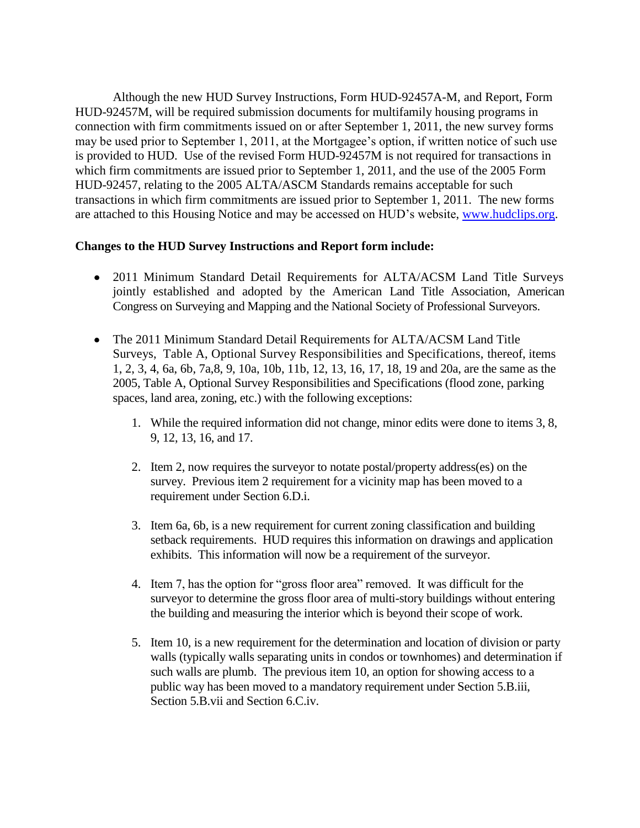Although the new HUD Survey Instructions, Form HUD-92457A-M, and Report, Form HUD-92457M, will be required submission documents for multifamily housing programs in connection with firm commitments issued on or after September 1, 2011, the new survey forms may be used prior to September 1, 2011, at the Mortgagee's option, if written notice of such use is provided to HUD. Use of the revised Form HUD-92457M is not required for transactions in which firm commitments are issued prior to September 1, 2011, and the use of the 2005 Form HUD-92457, relating to the 2005 ALTA/ASCM Standards remains acceptable for such transactions in which firm commitments are issued prior to September 1, 2011. The new forms are attached to this Housing Notice and may be accessed on HUD's website, [www.hudclips.org.](file:///C:/Documents%20and%20Settings/H09738/Local%20Settings/Temporary%20Internet%20Files/Local%20Settings/Temporary%20Internet%20Files/Content.Outlook/N9T4DPZ7/Local%20Settings/Temporary%20Internet%20Files/Content.Outlook/APE81PZ5/www.hudclips.org)

## **Changes to the HUD Survey Instructions and Report form include:**

- 2011 Minimum Standard Detail Requirements for ALTA/ACSM Land Title Surveys jointly established and adopted by the American Land Title Association, American Congress on Surveying and Mapping and the National Society of Professional Surveyors.
- The 2011 Minimum Standard Detail Requirements for ALTA/ACSM Land Title Surveys, Table A, Optional Survey Responsibilities and Specifications, thereof, items 1, 2, 3, 4, 6a, 6b, 7a,8, 9, 10a, 10b, 11b, 12, 13, 16, 17, 18, 19 and 20a, are the same as the 2005, Table A, Optional Survey Responsibilities and Specifications (flood zone, parking spaces, land area, zoning, etc.) with the following exceptions:
	- 1. While the required information did not change, minor edits were done to items 3, 8, 9, 12, 13, 16, and 17.
	- 2. Item 2, now requires the surveyor to notate postal/property address(es) on the survey. Previous item 2 requirement for a vicinity map has been moved to a requirement under Section 6.D.i.
	- 3. Item 6a, 6b, is a new requirement for current zoning classification and building setback requirements. HUD requires this information on drawings and application exhibits. This information will now be a requirement of the surveyor.
	- 4. Item 7, has the option for "gross floor area" removed. It was difficult for the surveyor to determine the gross floor area of multi-story buildings without entering the building and measuring the interior which is beyond their scope of work.
	- 5. Item 10, is a new requirement for the determination and location of division or party walls (typically walls separating units in condos or townhomes) and determination if such walls are plumb. The previous item 10, an option for showing access to a public way has been moved to a mandatory requirement under Section 5.B.iii, Section 5.B.vii and Section 6.C.iv.